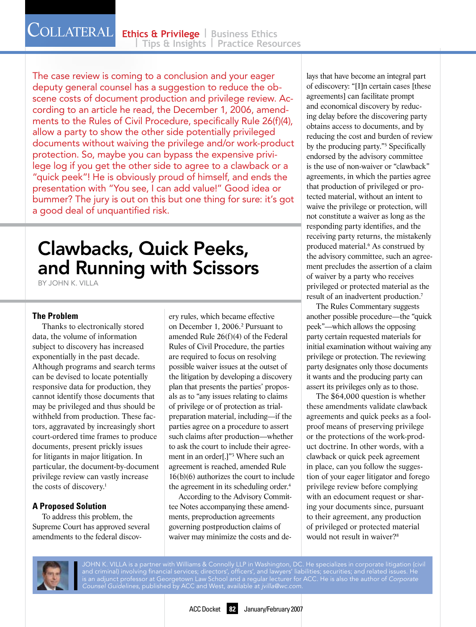The case review is coming to a conclusion and your eager deputy general counsel has a suggestion to reduce the obscene costs of document production and privilege review. According to an article he read, the December 1, 2006, amendments to the Rules of Civil Procedure, specifically Rule 26(f)(4), allow a party to show the other side potentially privileged documents without waiving the privilege and/or work-product protection. So, maybe you can bypass the expensive privilege log if you get the other side to agree to a clawback or a "quick peek"! He is obviously proud of himself, and ends the presentation with "You see, I can add value!" Good idea or bummer? The jury is out on this but one thing for sure: it's got a good deal of unquantified risk.

# Clawbacks, Quick Peeks, and Running with Scissors

By John K. Villa

#### **The Problem**

Thanks to electronically stored data, the volume of information subject to discovery has increased exponentially in the past decade. Although programs and search terms can be devised to locate potentially responsive data for production, they cannot identify those documents that may be privileged and thus should be withheld from production. These factors, aggravated by increasingly short court-ordered time frames to produce documents, present prickly issues for litigants in major litigation. In particular, the document-by-document privilege review can vastly increase the costs of discovery.1

### **A Proposed Solution**

To address this problem, the Supreme Court has approved several amendments to the federal discovery rules, which became effective on December 1, 2006.2 Pursuant to amended Rule 26(f)(4) of the Federal Rules of Civil Procedure, the parties are required to focus on resolving possible waiver issues at the outset of the litigation by developing a discovery plan that presents the parties' proposals as to "any issues relating to claims of privilege or of protection as trialpreparation material, including—if the parties agree on a procedure to assert such claims after production—whether to ask the court to include their agreement in an order[.]"3 Where such an agreement is reached, amended Rule 16(b)(6) authorizes the court to include the agreement in its scheduling order.<sup>4</sup>

According to the Advisory Committee Notes accompanying these amendments, preproduction agreements governing postproduction claims of waiver may minimize the costs and delays that have become an integral part of ediscovery: "[I]n certain cases [these agreements] can facilitate prompt and economical discovery by reducing delay before the discovering party obtains access to documents, and by reducing the cost and burden of review by the producing party."5 Specifically endorsed by the advisory committee is the use of non-waiver or "clawback" agreements, in which the parties agree that production of privileged or protected material, without an intent to waive the privilege or protection, will not constitute a waiver as long as the responding party identifies, and the receiving party returns, the mistakenly produced material.<sup>6</sup> As construed by the advisory committee, such an agreement precludes the assertion of a claim of waiver by a party who receives privileged or protected material as the result of an inadvertent production.7

The Rules Commentary suggests another possible procedure—the "quick peek"—which allows the opposing party certain requested materials for initial examination without waiving any privilege or protection. The reviewing party designates only those documents it wants and the producing party can assert its privileges only as to those.

The \$64,000 question is whether these amendments validate clawback agreements and quick peeks as a foolproof means of preserving privilege or the protections of the work-product doctrine. In other words, with a clawback or quick peek agreement in place, can you follow the suggestion of your eager litigator and forego privilege review before complying with an edocument request or sharing your documents since, pursuant to their agreement, any production of privileged or protected material would not result in waiver?8



John K. Villa is a partner with Williams & Connolly LLP in Washington, DC. He specializes in corporate litigation (civil and criminal) involving financial services; directors', officers', and lawyers' liabilities; securities; and related issues. He is an adjunct professor at Georgetown Law School and a regular lecturer for ACC. He is also the author of *Corporate Counsel Guidelines,* published by ACC and West, available at *jvilla@wc.com.*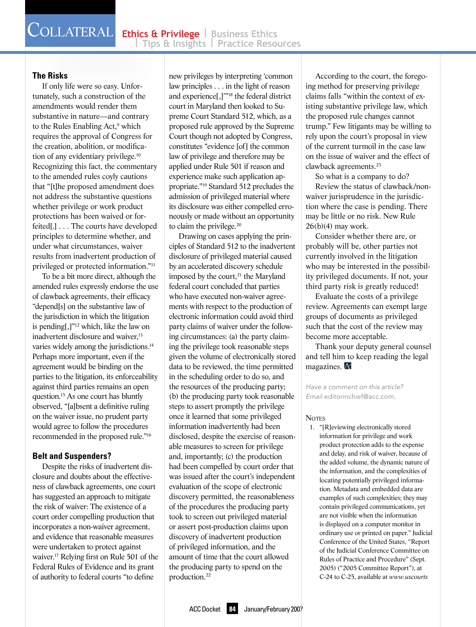#### **The Risks**

If only life were so easy. Unfortunately, such a construction of the amendments would render them substantive in nature—and contrary to the Rules Enabling Act,<sup>9</sup> which requires the approval of Congress for the creation, abolition, or modification of any evidentiary privilege.10 Recognizing this fact, the commentary to the amended rules coyly cautions that "[t]he proposed amendment does not address the substantive questions whether privilege or work product protections has been waived or forfeited[.] . . . The courts have developed principles to determine whether, and under what circumstances, waiver results from inadvertent production of privileged or protected information."11

To be a bit more direct, although the amended rules expressly endorse the use of clawback agreements, their efficacy "depend[s] on the substantive law of the jurisdiction in which the litigation is pending[,]"12 which, like the law on inadvertent disclosure and waiver,<sup>13</sup> varies widely among the jurisdictions.<sup>14</sup> Perhaps more important, even if the agreement would be binding on the parties to the litigation, its enforceability against third parties remains an open question.15 As one court has bluntly observed, "[a]bsent a definitive ruling on the waiver issue, no prudent party would agree to follow the procedures recommended in the proposed rule."16

#### **Belt and Suspenders?**

Despite the risks of inadvertent disclosure and doubts about the effectiveness of clawback agreements, one court has suggested an approach to mitigate the risk of waiver: The existence of a court order compelling production that incorporates a non-waiver agreement, and evidence that reasonable measures were undertaken to protect against waiver.17 Relying first on Rule 501 of the Federal Rules of Evidence and its grant of authority to federal courts "to define

new privileges by interpreting 'common law principles . . . in the light of reason and experience[,]'"18 the federal district court in Maryland then looked to Supreme Court Standard 512, which, as a proposed rule approved by the Supreme Court though not adopted by Congress, constitutes "evidence [of] the common law of privilege and therefore may be applied under Rule 501 if reason and experience make such application appropriate."19 Standard 512 precludes the admission of privileged material where its disclosure was either compelled erroneously or made without an opportunity to claim the privilege.<sup>20</sup>

Drawing on cases applying the principles of Standard 512 to the inadvertent disclosure of privileged material caused by an accelerated discovery schedule imposed by the court,<sup>21</sup> the Maryland federal court concluded that parties who have executed non-waiver agreements with respect to the production of electronic information could avoid third party claims of waiver under the following circumstances: (a) the party claiming the privilege took reasonable steps given the volume of electronically stored data to be reviewed, the time permitted in the scheduling order to do so, and the resources of the producing party; (b) the producing party took reasonable steps to assert promptly the privilege once it learned that some privileged information inadvertently had been disclosed, despite the exercise of reasonable measures to screen for privilege and, importantly; (c) the production had been compelled by court order that was issued after the court's independent evaluation of the scope of electronic discovery permitted, the reasonableness of the procedures the producing party took to screen out privileged material or assert post-production claims upon discovery of inadvertent production of privileged information, and the amount of time that the court allowed the producing party to spend on the production.22

According to the court, the foregoing method for preserving privilege claims falls "within the context of existing substantive privilege law, which the proposed rule changes cannot trump." Few litigants may be willing to rely upon the court's proposal in view of the current turmoil in the case law on the issue of waiver and the effect of clawback agreements.23

So what is a company to do? Review the status of clawback/nonwaiver jurisprudence in the jurisdiction where the case is pending. There may be little or no risk. New Rule 26(b)(4) may work.

Consider whether there are, or probably will be, other parties not currently involved in the litigation who may be interested in the possibility privileged documents. If not, your third party risk is greatly reduced!

Evaluate the costs of a privilege review. Agreements can exempt large groups of documents as privileged such that the cost of the review may become more acceptable.

Thank your deputy general counsel and tell him to keep reading the legal magazines. **K** 

*Have a comment on this article? Email* editorinchief@acc.com*.* 

#### **NOTES**

1. "[R]eviewing electronically stored information for privilege and work product protection adds to the expense and delay, and risk of waiver, because of the added volume, the dynamic nature of the information, and the complexities of locating potentially privileged information. Metadata and embedded data are examples of such complexities; they may contain privileged communications, yet are not visible when the information is displayed on a computer monitor in ordinary use or printed on paper." Judicial Conference of the United States, "Report of the Judicial Conference Committee on Rules of Practice and Procedure" (Sept. 2005) ("2005 Committee Report"), at C-24 to C-25, available at *www.uscourts*